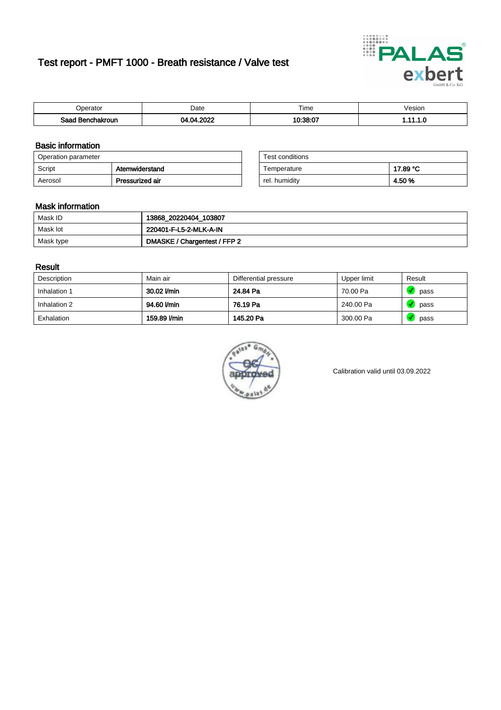# Test report - PMFT 1000 - Breath resistance / Valve test



| )perator               | Date                                  | $- \cdot$<br>Гіmе | esion |
|------------------------|---------------------------------------|-------------------|-------|
| המס<br>hakroun<br>32 H | 0000<br>м<br>$\overline{\phantom{a}}$ | 10.20.07          | .     |

### Basic information

| Operation parameter |                 | Test conditions |          |
|---------------------|-----------------|-----------------|----------|
| Script              | Atemwiderstand  | Temperature     | 17.89 °C |
| Aerosol             | Pressurized air | rel. humidity   | 4.50%    |

| Test conditions |          |
|-----------------|----------|
| Temperature     | 17.89 °C |
| rel. humidity   | 4.50%    |

#### Mask information

| Mask ID   | 13868_20220404_103807        |
|-----------|------------------------------|
| Mask lot  | 220401-F-L5-2-MLK-A-IN       |
| Mask type | DMASKE / Chargentest / FFP 2 |

### Result

| Description  | Main air     | Differential pressure | Upper limit | Result |
|--------------|--------------|-----------------------|-------------|--------|
| Inhalation 1 | 30.02 l/min  | 24.84 Pa              | 70.00 Pa    | pass   |
| Inhalation 2 | 94.60 l/min  | 76.19 Pa              | 240.00 Pa   | pass   |
| Exhalation   | 159.89 l/min | 145.20 Pa             | 300.00 Pa   | pass   |



Calibration valid until 03.09.2022